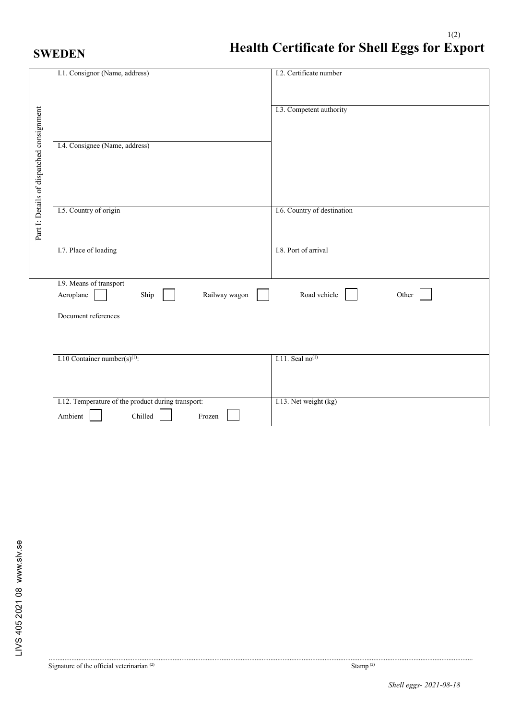|                                           | I.1. Consignor (Name, address)                                                     | I.2. Certificate number     |
|-------------------------------------------|------------------------------------------------------------------------------------|-----------------------------|
|                                           |                                                                                    | I.3. Competent authority    |
| Part I: Details of dispatched consignment | I.4. Consignee (Name, address)                                                     |                             |
|                                           | I.5. Country of origin                                                             | I.6. Country of destination |
|                                           |                                                                                    |                             |
|                                           | I.7. Place of loading                                                              | I.8. Port of arrival        |
|                                           | I.9. Means of transport<br>Aeroplane<br>Railway wagon<br>Ship                      | Road vehicle<br>Other       |
|                                           | Document references                                                                |                             |
|                                           | I.10 Container number(s) <sup>(1)</sup> :                                          | I.11. Seal $no(1)$          |
|                                           | I.12. Temperature of the product during transport:<br>Ambient<br>Chilled<br>Frozen | I.13. Net weight (kg)       |